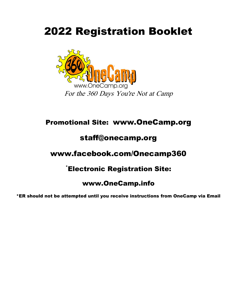# 2022 Registration Booklet



## Promotional Site: www.OneCamp.org

## staff@onecamp.org

## www.facebook.com/Onecamp360

## \*Electronic Registration Site:

## www.OneCamp.info

\*ER should not be attempted until you receive instructions from OneCamp via Email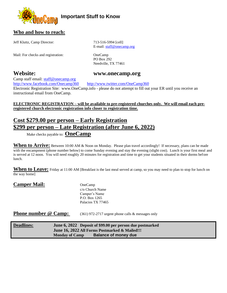

### **Who and how to reach:**

Jeff Kluttz, Camp Director: 713-516-5994 [cell]

Mail: For checks and registration: OneCamp

E-mail[: staff@onecamp.org](mailto:staff@onecamp.org)

PO Box 292 Needville, TX 77461

### **Website: www.onecamp.org**

Camp staff email: staff@onecamp.org

<http://www.facebook.com/Onecamp360><http://www.twitter.com/OneCamp360> Electronic Registration Site: www.OneCamp.info - please do not attempt to fill out your ER until you receive an instructional email from OneCamp.

**ELECTRONIC REGISTRATION – will be available to pre-registered churches only. We will email each preregistered church electronic registration info closer to registration time.**

## **Cost \$279.00 per person – Early Registration \$299 per person – Late Registration (after June 6, 2022)**

Make checks payable to: **OneCamp**

When to Arrive: Between 10:00 AM & Noon on Monday. Please plan travel accordingly! If necessary, plans can be made with the encampment (phone number below) to come Sunday evening and stay the evening (slight cost). Lunch is your first meal and is served at 12 noon. You will need roughly 20 minutes for registration and time to get your students situated in their dorms before lunch.

**When to Leave:** Friday at 11:00 AM [Breakfast is the last meal served at camp, so you may need to plan to stop for lunch on the way home]

### Camper Mail: OneCamp

c/o Church Name Camper's Name P.O. Box 1265 Palacios TX 77465

**Phone number @ Camp:** (361) 972-2717 urgent phone calls & messages only

| <b>Deadlines:</b> |                       | June 6, 2022 Deposit of \$99.00 per person due postmarked |
|-------------------|-----------------------|-----------------------------------------------------------|
|                   |                       | June 16, 2022 All Forms Postmarked & Mailed!!!            |
|                   | <b>Monday of Camp</b> | <b>Balance of money due</b>                               |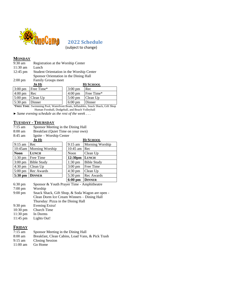

 **2022 Schedule**

(subject to change)

#### **MONDAY**

| $9:30 \text{ am}$  | Registration at the Worship Center     |                                           |                   |                  |  |
|--------------------|----------------------------------------|-------------------------------------------|-------------------|------------------|--|
| $11:30 \text{ am}$ | Lunch                                  |                                           |                   |                  |  |
| $12:45 \text{ pm}$ |                                        | Student Orientation in the Worship Center |                   |                  |  |
|                    | Sponsor Orientation in the Dining Hall |                                           |                   |                  |  |
| $2:00 \text{ pm}$  | <b>Family Groups meet</b>              |                                           |                   |                  |  |
|                    | Jr Hi                                  |                                           |                   | <b>HI SCHOOL</b> |  |
| $3.00 \text{ nm}$  | $Frae Time*$                           |                                           | $3.00 \text{ nm}$ | Re               |  |

|                                      | $3:00 \text{ pm}$ Free Time*           | $3:00 \text{ pm}$        | Rec                            |
|--------------------------------------|----------------------------------------|--------------------------|--------------------------------|
| $\left 4:00 \right $ pm Rec          |                                        | $4:00 \text{ pm}$        | Free Time*                     |
|                                      | $\vert 5:00 \text{ pm} \vert$ Clean Up |                          | $\sim$ 5:00 pm $\sim$ Clean Up |
| $\vert 5:30 \text{ pm} \vert$ Dinner |                                        | $6:00 \text{ pm}$ Dinner |                                |

\***FREE TIME**: Swimming Pool, Waterfront Boats, Inflatables, Snack Shack, Gift Shop Human Foosball, Dodgeball, and Beach Volleyball

*► Same evening schedule as the rest of the week . . .* 

## **TUESDAY - THURSDAY**

- 7:15 am Sponsor Meeting in the Dining Hall<br>8:00 am Breakfast (Quiet Time on your own)
- 8:00 am Breakfast (Quiet Time on your own)<br>8:45 am Ignite Worship Center

Ignite – Worship Center

|                   | JR HI              | <b>HI SCHOOL</b>    |                    |  |
|-------------------|--------------------|---------------------|--------------------|--|
| $9:15$ am         | Rec                | $9:15$ am           | Morning Worship    |  |
| 10:45am           | Morning Worship    | $10:45$ am          | Rec                |  |
| <b>Noon</b>       | <b>LUNCH</b>       | Noon                | Clean Up           |  |
| $1:30 \text{ pm}$ | Free Time          | 12:30 <sub>pm</sub> | <b>LUNCH</b>       |  |
| $3:00 \text{ pm}$ | <b>Bible Study</b> | $1:30$ pm           | <b>Bible Study</b> |  |
| $4:30 \text{ pm}$ | Clean Up           | $3:00 \text{ pm}$   | Free Time          |  |
| $5:00 \text{ pm}$ | Rec Awards         | $4:30$ pm           | Clean Up           |  |
| 5:30 pm           | <b>DINNER</b>      | $5:30$ pm           | Rec Awards         |  |
|                   |                    | $6:00$ pm           | <b>DINNER</b>      |  |

| Sponsor & Youth Prayer Time - Amphitheatre      |
|-------------------------------------------------|
| Worship                                         |
| Snack Shack, Gift Shop, & Soda Wagon are open - |
| Clean Dorm Ice Cream Winners – Dining Hall      |
| Thursday: Pizza in the Dining Hall              |
| Evening Extra!                                  |
| Church Time                                     |
| In Dorms                                        |
| Lights Out!                                     |
|                                                 |

### **FRIDAY**

| Breakfast, Clean Cabins, Load Vans, & Pick Trash |
|--------------------------------------------------|
|                                                  |
|                                                  |
|                                                  |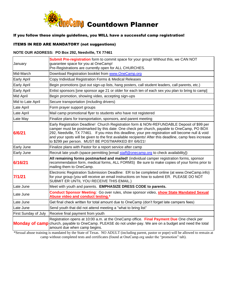

#### If you follow these simple guidelines, you WILL have a successful camp registration!

### ITEMS IN RED ARE MANDATORY (not suggestions)

#### **NOTE OUR ADDRESS: PO Box 292, Needville, TX 77461**

| January              | Submit Pre-registration form to commit space for your group! Without this, we CAN NOT<br>guarantee space for you at OneCamp!<br>Pre-Registrations are currently open for ALL CHURCHES.                                                                                                                                                                                                                                                                        |
|----------------------|---------------------------------------------------------------------------------------------------------------------------------------------------------------------------------------------------------------------------------------------------------------------------------------------------------------------------------------------------------------------------------------------------------------------------------------------------------------|
| Mid-March            | Download Registration booklet from www.OneCamp.org                                                                                                                                                                                                                                                                                                                                                                                                            |
| <b>Early April</b>   | Copy Individual Registration Forms & Medical Releases                                                                                                                                                                                                                                                                                                                                                                                                         |
| Early April          | Begin promotions (put out sign-up lists, hang posters, call student leaders, call parents, etc.)                                                                                                                                                                                                                                                                                                                                                              |
| Early April          | Enlist sponsors [one sponsor age 21 or older for each ten of each sex you plan to bring to camp]                                                                                                                                                                                                                                                                                                                                                              |
| Mid April            | Begin promotion, showing video, accepting sign-ups                                                                                                                                                                                                                                                                                                                                                                                                            |
| Mid to Late April    | Secure transportation (including drivers)                                                                                                                                                                                                                                                                                                                                                                                                                     |
| Late April           | Form prayer support groups                                                                                                                                                                                                                                                                                                                                                                                                                                    |
| Late April           | Mail camp promotional flyer to students who have not registered                                                                                                                                                                                                                                                                                                                                                                                               |
| Late May             | Finalize plans for transportation, sponsors, and parent meeting                                                                                                                                                                                                                                                                                                                                                                                               |
| 6/6/21               | Early Registration Deadline! Church Registration form & NON-REFUNDABLE Deposit of \$99 per<br>camper must be postmarked by this date: One check per church, payable to OneCamp, PO BOX<br>292, Needville, TX 77461. If you miss this deadline, your pre-registration will become null & void<br>and your spots will be given to the first available recipients! After this deadline, camp fees increase<br>to \$299 per person. MUST BE POSTMARKED BY 6/6/21! |
| Early June           | Finalize plans with Pastor for a report service after camp                                                                                                                                                                                                                                                                                                                                                                                                    |
| Early June           | Recruit late youth (space permitting [email staff@onecamp.org to check availability])                                                                                                                                                                                                                                                                                                                                                                         |
| 6/16/21              | All remaining forms postmarked and mailed! (individual camper registration forms, sponsor<br>recommendation form, medical forms, ALL FORMS) Be sure to make copies of your forms prior to<br>mailing them to OneCamp.                                                                                                                                                                                                                                         |
| 7/1/21               | Electronic Registration Submission Deadline: ER to be completed online (at www.OneCamp.info)<br>for your group (you will receive an email instructions on how to submit ER. PLEASE DO NOT<br>SUBMIT ER UNTIL YOU RECEIVE THIS EMAIL.)                                                                                                                                                                                                                         |
| Late June            | Meet with youth and parents. EMPHASIZE DRESS CODE to parents.                                                                                                                                                                                                                                                                                                                                                                                                 |
| Late June            | Conduct Sponsor Meeting: Go over rules, show sponsor video, show State Mandated Sexual<br>Abuse video and conduct testing.*                                                                                                                                                                                                                                                                                                                                   |
| Late June            | Get final check written for total amount due to OneCamp (don't forget late campers fees)                                                                                                                                                                                                                                                                                                                                                                      |
| Late June            | Send youth that did not attend meeting a "what to bring list"                                                                                                                                                                                                                                                                                                                                                                                                 |
| First Sunday of July | Receive final payment from youth                                                                                                                                                                                                                                                                                                                                                                                                                              |
|                      | Registration opens at 10:00 a.m. at the OneCamp office. Final Payment Due One check per<br>Monday of camp church, payable to OneCamp. PLEASE do not under-pay. We are on a budget and need the total<br>amount due when camp begins.                                                                                                                                                                                                                          |

\*Sexual abuse training is mandated by the State of Texas. NO ADULT (including parent, pastor or pope) will be allowed to remain at camp without completed tests and certificates (found at OneCamp.org under the "promotion" tab).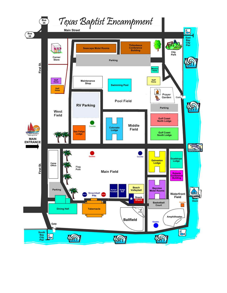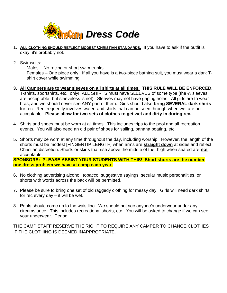

- 1. **ALL CLOTHING SHOULD REFLECT MODEST CHRISTIAN STANDARDS.** If you have to ask if the outfit is okay, it's probably not.
- 2. Swimsuits:

Males – No racing or short swim trunks

Females – One piece only. If all you have is a two-piece bathing suit, you must wear a dark Tshirt cover while swimming

- **3. All Campers are to wear sleeves on all shirts at all times. THIS RULE WILL BE ENFORCED.**  T-shirts, sportshirts, etc., only! ALL SHIRTS must have SLEEVES of some type (the ½ sleeves are acceptable- but sleeveless is not). Sleeves may not have gaping holes. All girls are to wear bras, and we should never see ANY part of them. Girls should also **bring SEVERAL dark shirts** for rec. Rec frequently involves water, and shirts that can be seen through when wet are not acceptable. **Please allow for two sets of clothes to get wet and dirty in during rec.**
- 4. Shirts and shoes must be worn at all times. This includes trips to the pool and all recreation events. You will also need an old pair of shoes for sailing, banana boating, etc.
- 5. Shorts may be worn at any time throughout the day, including worship. However, the length of the shorts must be modest [FINGERTIP LENGTH] when arms are **straight down** at sides and reflect Christian discretion. Shorts or skirts that rise above the middle of the thigh when seated are **not** acceptable.

**SPONSORS: PLEASE ASSIST YOUR STUDENTS WITH THIS! Short shorts are the number one dress problem we have at camp each year.**

- 6. No clothing advertising alcohol, tobacco, suggestive sayings, secular music personalities, or shorts with words across the back will be permitted.
- 7. Please be sure to bring one set of old raggedy clothing for messy day! Girls will need dark shirts for rec every day – it will be wet.
- 8. Pants should come up to the waistline. We should not see anyone's underwear under any circumstance. This includes recreational shorts, etc. You will be asked to change if we can see your underwear. Period.

THE CAMP STAFF RESERVE THE RIGHT TO REQUIRE ANY CAMPER TO CHANGE CLOTHES IF THE CLOTHING IS DEEMED INAPPROPRIATE.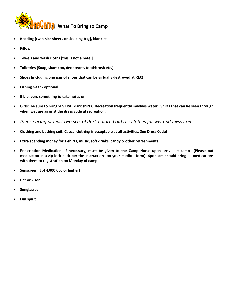

- **Bedding [twin-size sheets or sleeping bag], blankets**
- **Pillow**
- **Towels and wash cloths [this is not a hotel]**
- **Toiletries [Soap, shampoo, deodorant, toothbrush etc.]**
- **Shoes (including one pair of shoes that can be virtually destroyed at REC)**
- **Fishing Gear - optional**
- **Bible, pen, something to take notes on**
- **Girls: be sure to bring SEVERAL dark shirts. Recreation frequently involves water. Shirts that can be seen through when wet are against the dress code at recreation.**
- *Please bring at least two sets of dark colored old rec clothes for wet and messy rec.*
- **Clothing and bathing suit. Casual clothing is acceptable at all activities. See Dress Code!**
- **Extra spending money for T-shirts, music, soft drinks, candy & other refreshments**
- **Prescription Medication, if necessary, must be given to the Camp Nurse upon arrival at camp (Please put medication in a zip-lock back per the instructions on your medical form) Sponsors should bring all medications with them to registration on Monday of camp.**
- **Sunscreen [Spf 4,000,000 or higher]**
- **Hat or visor**
- **Sunglasses**
- **Fun spirit**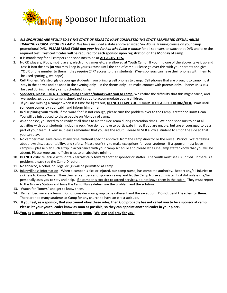

- 1. *ALL SPONSORS ARE REQUIRED BY THE STATE OF TEXAS TO HAVE COMPLETED THE STATE-MANDATED SEXUAL ABUSE TRAINING COURSE PRIOR TO CAMP.* We have included a state approved video Sex Abuse Training course on your camp promotional DVD. *PLEASE MAKE SURE that your leader has scheduled a course* for all sponsors to watch that DVD and take the required test. **Test certificates will be required for each sponsor upon registration on the Monday of camp.**
- 2. It is mandatory for all campers and sponsors to be at **ALL ACTIVITIES.**
- 3. No CD players, iPods, mp3 players, electronic games etc. are allowed at Youth Camp. If you find one of the above, take it up and toss it into the bay (**or** you may keep in your suitcase until the end of camp.) Please go over this with your parents and give YOUR phone number to them if they require 24/7 access to their students. (Yes- sponsors can have their phones with them to be used sparingly, we hope)
- 4. **Cell Phones**: We strongly discourage students from bringing cell phones to camp. Cell phones that are brought to camp must stay in the dorms and be used in the evening only – in the dorms only – to make contact with parents only. Phones MAY NOT be used during the daily camp scheduled times.
- 5. **Sponsors, please, DO NOT bring young children/infants with you to camp.** We realize the difficulty that this might cause, and we apologize, but the camp is simply not set up to accommodate young children.
- 6. If you are missing a camper when it is time for lights out, **DO NOT LEAVE YOUR DORM TO SEARCH FOR HIM/HER.** Wait until someone comes by your cabin and inform him or her.
- 7. In disciplining your Youth, if the word "no" is not enough, please turn the problem over to the Camp Director or Dorm Dean. You will be introduced to these people on Monday of camp.
- 8. As a sponsor, you need to be ready at all times to aid the Rec Team during recreation times. We need sponsors to be at all activities with your students (including rec). You do not have to participate in rec if you are unable, but are encouraged to be a part of your team. Likewise, please remember that you are the adult. Please NEVER allow a student to sit on the side so that you can play.
- 9. No camper may leave camp at any time, without specific approval from the camp director or the nurse. Period. We're talking about lawsuits, accountability, and safety. Please don't try to make exceptions for your students. If a sponsor must leave campus – please plan such a trip in accordance with your camp schedule and please let a OneCamp staffer know that you will be absent. Please keep such off-site trips to an absolute minimum.
- 10. **DO NOT** criticize, argue with, or talk sarcastically toward another sponsor or staffer. The youth must see us unified. If there is a problem, please see the Camp Director.
- 11. No tobacco, alcohol, or illegal drugs will be permitted at camp.
- 12. Injury/illness Information When a camper is sick or injured, our camp nurse, has complete authority. Report any/all injuries or sickness to Camp Nurse! Then clear all campers and sponsors away and let the Camp Nurse administer First Aid unless she/he personally asks you to stay and help. If a camper is too sick to attend services, do not leave them in the cabin. They must report to the Nurse's Station and have the Camp Nurse determine the problem and the solution.
- 13. Watch for "loners" and get to know them.
- 14. Remember, we are a team. Do not consider your group to be different and the exception. **Do not bend the rules for them.** There are too many students at Camp for any church to have an elitist attitude.
- **15. If you feel, as a sponsor, that you cannot obey these rules, then God probably has not called you to be a sponsor at camp. Please let your youth leader know as soon as possible, so they can appoint another leader in your place.**

#### **16.You, as a sponsor, are very important to camp. We love and pray for you!**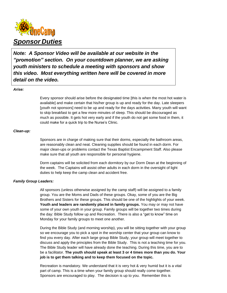

*Note: A Sponsor Video will be available at our website in the "promotion" section. On your countdown planner, we are asking youth ministers to schedule a meeting with sponsors and show this video. Most everything written here will be covered in more detail on the video.*

#### *Arise:*

Every sponsor should arise before the designated time [this is when the most hot water is available] and make certain that his/her group is up and ready for the day. Late sleepers [youth not sponsors] need to be up and ready for the days activities. Many youth will want to skip breakfast to get a few more minutes of sleep. This should be discouraged as much as possible. It gets hot very early and if the youth do not get some food in them, it could make for a quick trip to the Nurse's Clinic.

#### *Clean-up:*

Sponsors are in charge of making sure that their dorms, especially the bathroom areas, are reasonably clean and neat. Cleaning supplies should be found in each dorm. For major clean-ups or problems contact the Texas Baptist Encampment Staff. Also please make sure that all youth are responsible for personal hygiene.

Dorm captains will be solicited from each dormitory by our Dorm Dean at the beginning of the week. The Captains will assist other adults in each dorm in the oversight of light duties to help keep the camp clean and accident free.

#### *Family Group Leaders:*

All sponsors (unless otherwise assigned by the camp staff) will be assigned to a family group. You are the Moms and Dads of these groups. Okay, some of you are the Big Brothers and Sisters for these groups. This should be one of the highlights of your week. **Youth and leaders are randomly placed in family groups.** You may or may not have some of your own youth in your group. Family groups will be together two times during the day: Bible Study follow up and Recreation. There is also a "get to know" time on Monday for your family groups to meet one another.

During the Bible Study (and morning worship), you will be sitting together with your group so we encourage you to pick a spot in the worship center that your group can know to find you every day. After each large group Bible Study, your group will meet together to discuss and apply the principles from the Bible Study. This is not a teaching time for you. The Bible Study leader will have already done the teaching. During this time, you are to be a facilitator. **The youth should speak at least 3 or 4 times more than you do. Your job is to get them talking and to keep them focused on the topic.**

Recreation is mandatory. We understand that it is very hot & very humid but it is a vital part of camp. This is a time when your family group should really come together. Sponsors are encouraged to play. The decision is up to you. Remember this is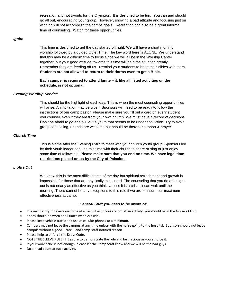recreation and not tryouts for the Olympics. It is designed to be fun. You can and should go all out, encouraging your group. However, showing a bad attitude and focusing just on winning will not accomplish the camps goals. Recreation can also be a great informal time of counseling. Watch for these opportunities.

#### *Ignite*

This time is designed to get the day started off right. We will have a short morning worship followed by a guided Quiet Time. The key word here is ALONE. We understand that this may be a difficult time to focus since we will all be in the Worship Center together, but your good attitude towards this time will help the situation greatly. Remember they are feeding off us. Remind your students to bring their Bibles with them. **Students are not allowed to return to their dorms even to get a Bible.**

**Each camper is required to attend Ignite – it, like all listed activities on the schedule, is not optional.**

#### *Evening Worship Service*

This should be the highlight of each day. This is when the most counseling opportunities will arise. An invitation may be given. Sponsors will need to be ready to follow the instructions of our camp pastor. Please make sure you fill out a card on every student you counsel, even if they are from your own church. We must have a record of decisions. Don't be afraid to go and pull out a youth that seems to be under conviction. Try to avoid group counseling. Friends are welcome but should be there for support & prayer.

#### *Church Time*

This is a time after the Evening Extra to meet with your church youth group. Sponsors led by their youth leader can use this time with their church to share or sing or just enjoy some time of fellowship. **Please make sure that you end on time. We have legal time restrictions placed on us by the City of Palacios.**

#### *Lights Out*

We know this is the most difficult time of the day but spiritual refreshment and growth is impossible for those that are physically exhausted. The counseling that you do after lights out is not nearly as effective as you think. Unless it is a crisis, it can wait until the morning. There cannot be any exceptions to this rule if we are to insure our maximum effectiveness at camp.

#### *General Stuff you need to be aware of:*

- It is mandatory for everyone to be at all activities. If you are not at an activity, you should be in the Nurse's Clinic.
- Shoes should be worn at all times when outside.
- Please keep vehicle traffic and use of cellular phones to a minimum.
- Campers may not leave the campus at any time unless with the nurse going to the hospital. Sponsors should not leave campus without a good – rare – and camp-staff-notified reason.
- Please help to enforce the Dress Code.
- NOTE THE SLEEVE RULE!!! Be sure to demonstrate the rule and be gracious as you enforce it.
- If your word "No" is not enough, please let the Camp Staff know and we will be the bad guys.
- Do a head count at each activity.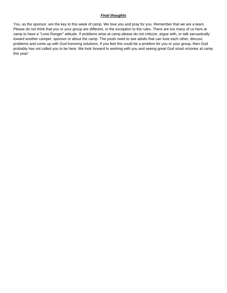#### *Final thoughts*

You, as the sponsor, are the key to this week of camp. We love you and pray for you. Remember that we are a team. Please do not think that you or your group are different, or the exception to the rules. There are too many of us here at camp to have a "Lone Ranger" attitude. If problems arise at camp please do not criticize, argue with, or talk sarcastically toward another camper, sponsor or about the camp. The youth need to see adults that can love each other, discuss problems and come up with God honoring solutions. If you feel this could be a problem for you or your group, then God probably has not called you to be here. We look forward to working with you and seeing great God sized victories at camp this year!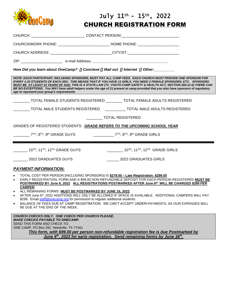

## July 11<sup>th</sup> - 15<sup>th</sup>, 2022 CHURCH REGISTRATION FORM

| CHURCH: _________________________________CONTACT PERSON:________________________                                                                                                                                                                                                       |                                                                                                                                                                                                                                                                                                                                                                                                                                                                                                   |
|----------------------------------------------------------------------------------------------------------------------------------------------------------------------------------------------------------------------------------------------------------------------------------------|---------------------------------------------------------------------------------------------------------------------------------------------------------------------------------------------------------------------------------------------------------------------------------------------------------------------------------------------------------------------------------------------------------------------------------------------------------------------------------------------------|
| CHURCH/WORK PHONE: ________________________________HOME PHONE: _________________                                                                                                                                                                                                       |                                                                                                                                                                                                                                                                                                                                                                                                                                                                                                   |
| CHURCH ADDRESS: __________________________CITY/ST:______________________________                                                                                                                                                                                                       |                                                                                                                                                                                                                                                                                                                                                                                                                                                                                                   |
|                                                                                                                                                                                                                                                                                        |                                                                                                                                                                                                                                                                                                                                                                                                                                                                                                   |
| How Did you learn about OneCamp? [] Conclave [] Mail out [] Internet [] Other: ________                                                                                                                                                                                                |                                                                                                                                                                                                                                                                                                                                                                                                                                                                                                   |
| age to represent your group's requirements.                                                                                                                                                                                                                                            | NOTE: EACH PARTICIPANT, INCLUDING SPONSORS, MUST PAY ALL CAMP FEES. EACH CHURCH MUST PROVIDE ONE SPONSOR FOR<br>EVERY 1-10 STUDENTS OF EACH SEX. THIS MEANS THAT IF YOU HAVE 11 GIRLS, YOU NEED 2 FEMALE SPONSORS, ETC. SPONSORS<br>MUST BE AT LEAST 21 YEARS OF AGE. THIS IS A STATE LAW (TX. YOUTH CAMP SAFETY & HEALTH ACT, SECTION 265.12 d) THERE CAN<br>BE NO EXCEPTIONS. You MAY have adult helpers under the age of 21 present at camp provided that you also have sponsors of regulatory |
| ________ TOTAL FEMALE STUDENTS REGISTERED ________ TOTAL FEMALE ADULTS REGISTERED                                                                                                                                                                                                      |                                                                                                                                                                                                                                                                                                                                                                                                                                                                                                   |
| TOTAL MALE STUDENTS REGISTERED ___________ TOTAL MALE ADULTS REGISTERED                                                                                                                                                                                                                |                                                                                                                                                                                                                                                                                                                                                                                                                                                                                                   |
|                                                                                                                                                                                                                                                                                        | <b>TOTAL REGISTERED</b>                                                                                                                                                                                                                                                                                                                                                                                                                                                                           |
| GRADES OF REGISTERED STUDENTS: GRADE REFERS TO THE UPCOMING SCHOOL YEAR                                                                                                                                                                                                                |                                                                                                                                                                                                                                                                                                                                                                                                                                                                                                   |
| 7 <sup>TH</sup> , 8 <sup>TH</sup> , 9 <sup>th</sup> GRADE GUYS                                                                                                                                                                                                                         | $7TH$ , $8TH$ , $9th$ GRADE GIRLS                                                                                                                                                                                                                                                                                                                                                                                                                                                                 |
| $\frac{10^{TH}}{10^{TH}}$ , 11 <sup>TH</sup> , 12 <sup>TH</sup> GRADE GUYS                                                                                                                                                                                                             | $\frac{1}{2}$ 10 <sup>TH</sup> , 11 <sup>TH</sup> , 12 <sup>TH</sup> GRADE GIRLS                                                                                                                                                                                                                                                                                                                                                                                                                  |
| 2022 GRADUATES GUYS                                                                                                                                                                                                                                                                    | 2022 GRADUATES GIRLS                                                                                                                                                                                                                                                                                                                                                                                                                                                                              |
| <b>PAYMENT INFORMATION:</b>                                                                                                                                                                                                                                                            |                                                                                                                                                                                                                                                                                                                                                                                                                                                                                                   |
| TOTAL COST PER PERSON [INCLUDING SPONSORS] IS \$279.00 - Late Registration: \$299.00<br><b>CAMPER.</b><br>ALL REMAINING FORMS MUST BE POSTMARKED BY JUNE 16, 2022.<br>\$299. Email staff@onecamp.org for permission to register additional students.<br>BE DUE AT THE END OF THE WEEK. | EARLY REGISTRATION: FORM AND A \$99.00 NON-REFUNDABLE DEPOSIT FOR EACH PERSON REGISTERED MUST BE<br>POSTMARKED BY June 6, 2022. ALL REGISTRATIONS POSTMARKED AFTER June 6th WILL BE CHARGED \$299 PER<br>AFTER June 6st, 2022 ADDITIONS WILL ONLY BE ALLOWED IF SPACE IS AVAILABLE. ADDITIONAL CAMPERS WILL PAY<br>BALANCE OF FEES DUE AT CAMP REGISTRATION. WE CAN'T ACCEPT UNDER-PAYMENTS, AS OUR EXPENSES WILL                                                                                 |
| CHURCH CHECKS ONLY. ONE CHECK PER CHURCH PLEASE.<br><b>MAKE CHECKS PAYABLE TO ONECAMP.</b><br>SEND THIS FORM AND CHECK TO:<br>ONE CAMP, PO Box 292 Needville, TX 77461                                                                                                                 |                                                                                                                                                                                                                                                                                                                                                                                                                                                                                                   |

*This form, with \$99.00 per person non-refundable registration fee is due Postmarked by*  June 6<sup>th</sup>, 2022 for early registration. Send remaining forms by June 16<sup>th</sup>.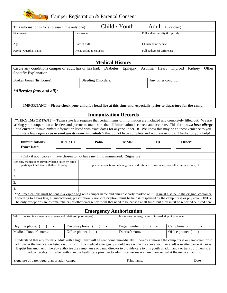

| This information is for a (please circle only one): | Child / Youth           | <b>Adult</b> (18 or over)        |  |
|-----------------------------------------------------|-------------------------|----------------------------------|--|
| First name:                                         | Last name:              | Full address w/ city & zip code: |  |
| Age:                                                | Date of birth:          | Church name & city:              |  |
| Parent / Guardian name:                             | Relationship to camper: | Full address (if different):     |  |

### **Medical History**

| Circle any conditions camper or adult has or has had: Diabetes Epilepsy Asthma Heart Thyroid Kidney<br>Specific Explanation: |                            |  |  |  |  |                      |  | Other |
|------------------------------------------------------------------------------------------------------------------------------|----------------------------|--|--|--|--|----------------------|--|-------|
| Broken bones (list bones):                                                                                                   | <b>Bleeding Disorders:</b> |  |  |  |  | Any other condition: |  |       |
| *Allergies (any and all):                                                                                                    |                            |  |  |  |  |                      |  |       |
| IMPORTANT! - Please check your child for head lice at this time and, especially, prior to departure for the camp.            |                            |  |  |  |  |                      |  |       |

### **Immunization Records**

| *VERY IMPORTANT! – Texas state law requires that certain items of information are included and completely filled out. We are<br>asking your cooperation as leaders and parents to make sure that all information is correct and accurate. This form <i>must have allergy</i><br>and current immunization information listed with exact dates for anyone under 18. We know this may be an inconvenience to you<br>but state law requires us to send guests home immediately that do not have complete and accurate records. Thanks for your help! |       |            |     |                                                                                               |  |  |
|--------------------------------------------------------------------------------------------------------------------------------------------------------------------------------------------------------------------------------------------------------------------------------------------------------------------------------------------------------------------------------------------------------------------------------------------------------------------------------------------------------------------------------------------------|-------|------------|-----|-----------------------------------------------------------------------------------------------|--|--|
| Immunizations:<br>DPT/DT<br><b>Exact Date:</b>                                                                                                                                                                                                                                                                                                                                                                                                                                                                                                   | Polio | <b>MMR</b> | TB. | Other:                                                                                        |  |  |
| (Only if applicable) I have chosen to not have my child immunized: (Signature)                                                                                                                                                                                                                                                                                                                                                                                                                                                                   |       |            |     |                                                                                               |  |  |
| List only medications currently being taken by camp<br>participant and sent with them to camp:                                                                                                                                                                                                                                                                                                                                                                                                                                                   |       |            |     | Specific instructions on taking each medication, i.e. how much, how often, certain times, etc |  |  |
| 1.                                                                                                                                                                                                                                                                                                                                                                                                                                                                                                                                               |       |            |     |                                                                                               |  |  |
| 2.                                                                                                                                                                                                                                                                                                                                                                                                                                                                                                                                               |       |            |     |                                                                                               |  |  |
| 3.                                                                                                                                                                                                                                                                                                                                                                                                                                                                                                                                               |       |            |     |                                                                                               |  |  |
| 4.                                                                                                                                                                                                                                                                                                                                                                                                                                                                                                                                               |       |            |     |                                                                                               |  |  |
| ** All medications must be sent in a Ziploc bag with camper name and church clearly marked on it. It must also be in the original container.<br>According to Texas law, all medications, prescription & non-prescription, must be held & dispensed by the camp nurse or physician ONLY.<br>The only exceptions are asthma inhalers or other emergency meds that need to be carried at all times but they <i>must</i> be reported & listed here.                                                                                                  |       |            |     |                                                                                               |  |  |

## **Emergency Authorization**

| Who to contact in an emergency (name and relationship to camper):                                                                                                                                                                                                                          |                                             | Insurance company, name of insured, & policy number: |                    |  |  |  |  |
|--------------------------------------------------------------------------------------------------------------------------------------------------------------------------------------------------------------------------------------------------------------------------------------------|---------------------------------------------|------------------------------------------------------|--------------------|--|--|--|--|
| Daytime phone: (<br>$\sim$                                                                                                                                                                                                                                                                 | Daytime phone: (<br>$\sim 100$ m $^{-1}$    | Pager number:<br>$\mathbf{I}$ $\mathbf{I}$           | Cell phone: (<br>- |  |  |  |  |
| Medical Doctor's name:                                                                                                                                                                                                                                                                     | Office phone: (<br>$\overline{\phantom{a}}$ | Dentist's name:                                      | Office phone: (    |  |  |  |  |
| I understand that any youth or adult with a high fever will be sent home immediately. I hereby authorize the camp nurse or camp director to<br>odminister the modication listed on this form. If a modical emergency should grise while the shows youth or adult is in ettendance at Toyes |                                             |                                                      |                    |  |  |  |  |

administer the medication listed on this form. If a medical emergency should arise while the above youth or adult is in attendance at Texas Baptist Encampment, I hereby authorize the camp nurse or camp director to provide care to this youth or adult and / or transport them to a medical facility. I further authorize the health care provider to administer necessary care upon arrival at the medical facility.

Signature of parent/guardian or adult camper: \_\_\_\_\_\_\_\_\_\_\_\_\_\_\_\_\_\_\_\_\_\_\_\_\_\_ Print name: \_\_\_\_\_\_\_\_\_\_\_\_\_\_\_\_\_\_\_\_\_\_\_\_\_\_\_ Date: \_\_\_\_\_\_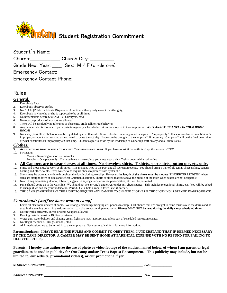

| Student's Name:           |                         |                           |  |
|---------------------------|-------------------------|---------------------------|--|
| Church: __________        | Church City: __________ |                           |  |
| Grade Next Year: ____     |                         | Sex: $M / F$ (circle one) |  |
| <b>Emergency Contact:</b> |                         |                           |  |
| Emergency Contact Phone:  |                         |                           |  |

### Rules

#### *General:*

- 1. Everybody Eats
- 2. Everybody observes curfew
- 3. No P.D.A. [Public or Private Displays of Affection with anybody except the Almighty]
- 4. Everybody is where he or she is supposed to be at all times
- 5. No noisemakers before 6:00 AM [i.e. hairdryers, etc.]
- 6. No tobacco products of any sort are allowed
- 7. There will be absolutely no tolerance of obscenity, crude talk or rude behavior
- 8. Any camper who is too sick to participate in regularly scheduled activities must report to the camp nurse. *YOU CANNOT JUST STAY IN YOUR DORM ROOM!*
- 9. Not every possible misbehavior can be regulated by a written rule. Some rules fall under a general category of "impropriety." If a sponsor deems an action to be improper, a student shall respond as instructed to cease the activity. Issues can be brought to the camp staff, if necessary. Camp staff will be the final determiner of what constitutes an impropriety at OneCamp. Students agree to abide by the leadership of OneCamp staff on any and all such issues.

#### *Clothes:*

- 9. **ALL CLOTHING SHOULD REFLECT MODEST CHRISTIAN STANDARDS.** If you have to ask if the outfit is okay, the answer is "NO"
- 10. Swimsuits:
	- Males No racing or short swim trunks

Females – One piece only. If all you have is a two-piece you must wear a dark T-shirt cover while swimming

- 11. **All Campers are to wear sleeves at all times. No sleeveless shirts. T-shirts, sportshirts, button ups, etc. only.**
- 12. Shirts and shoes must be worn at all times. This includes trips to the pool and all recreation events. You should bring a pair of old tennis shoes sailing, banana boating and other events. Even water evens require shoes to protect from oyster shell.
- 13. Shorts may be worn at any time throughout the day, including worship. However, **the length of the shorts must be modest [FINGERTIP LENGTH]** when arms are straight down at sides and reflect Christian discretion. Shorts or skirts that rise above the middle of the thigh when seated are not acceptable.
- 14. No clothing advertising alcohol, tobacco, suggestive sayings, secular music personalities, etc. will be permitted.
- 15. Pants should come up to the waistline. We should not see anyone's underwear under any circumstance. This includes recreational shorts, etc. You will be asked to change if we can see your underwear. Period. Get a belt, a rope, a towel, etc. if needed.
- 16. THE CAMP STAFF RESERVE THE RIGHT TO REQUIRE ANY CAMPER TO CHANGE CLOTHES IF THE CLOTHING IS DEEMED INAPPROPRIATE.

#### *Contraband: [stuff we don't want at camp]*

- 1. Leave all electronic devices at home. We strongly discourage bringing cell phones to camp. Cell phones that *are* brought to camp must stay in the dorms and be used in the evening only – in the dorms only – to make contact with parents only. **Phones MAY NOT be used during the daily camp scheduled times**.
- 2. No fireworks, firearms, knives or other weapons allowed.<br>
Reading material must be Biblically oriented Reading material must be Biblically oriented.
- 4. Water gun, water balloon and shaving cream fights are NOT appropriate, unless part of scheduled recreation events.
- 5. No illegal chemicals. [Drugs, alcohol, etc.]
- 6. ALL medications are to be turned in to the camp nurse. See your medical form for more information.

#### **Parents/Students: I HAVE READ THE RULES AND COMMIT TO OBEY THEM. I UNDERSTAND THAT IF DEEMED NECESSARY BY THE CAMP DIRECTOR, A CAMPER MAY BE SENT HOME AT PARENTAL EXPENSE WITH NO REFUND FOR FAILING TO HEED THE RULES.**

**Parents: I hereby also authorize the use of photo or video footage of the student named below, of whom I am parent or legal guardian, to be used in publicity for OneCamp and/or Texas Baptist Encampment. This publicity may include, but not be limited to, our website, promotional video(s), or our promotional flyer.**

*STUDENT SIGNATURE: \_\_\_\_\_\_\_\_\_\_\_\_\_\_\_\_\_\_\_\_\_\_\_\_\_\_\_\_\_\_\_\_\_\_\_\_\_\_\_\_\_\_\_\_\_\_\_\_\_\_\_\_\_\_\_\_\_\_\_\_\_\_\_\_\_ Date: \_\_\_\_\_\_\_\_\_\_\_\_\_\_*

*PARENT SIGNATURE: \_\_\_\_\_\_\_\_\_\_\_\_\_\_\_\_\_\_\_\_\_\_\_\_\_\_\_\_\_\_\_\_\_\_\_\_\_\_\_\_\_\_\_\_\_\_\_\_\_\_\_\_\_\_\_\_\_\_\_\_\_\_\_\_\_\_ Date: \_\_\_\_\_\_\_\_\_\_\_\_\_\_*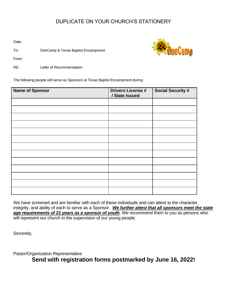## DUPLICATE ON YOUR CHURCH'S STATIONERY

Date:

To: OneCamp & Texas Baptist Encampment



From:

RE: Letter of Recommendation

The following people will serve as Sponsors at Texas Baptist Encampment during

| <b>Name of Sponsor</b> | <b>Drivers License #</b><br>/ State Issued | <b>Social Security #</b> |
|------------------------|--------------------------------------------|--------------------------|
|                        |                                            |                          |
|                        |                                            |                          |
|                        |                                            |                          |
|                        |                                            |                          |
|                        |                                            |                          |
|                        |                                            |                          |
|                        |                                            |                          |
|                        |                                            |                          |
|                        |                                            |                          |
|                        |                                            |                          |
|                        |                                            |                          |
|                        |                                            |                          |
|                        |                                            |                          |

We have screened and are familiar with each of these individuals and can attest to the character, integrity, and ability of each to serve as a Sponsor. *We further attest that all sponsors meet the state age requirements of 21 years as a sponsor of youth*. We recommend them to you as persons who will represent our church in the supervision of our young people.

Sincerely,

Pastor/Organization Representative **Send with registration forms postmarked by June 16, 2022!**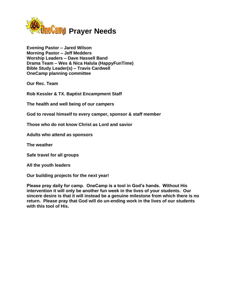

**Evening Pastor – Jared Wilson Morning Pastor – Jeff Medders Worship Leaders – Dave Hassell Band Drama Team – Wes & Nica Halula (HappyFunTime) Bible Study Leader(s) – Travis Cardwell OneCamp planning committee**

**Our Rec. Team**

**Rob Kessler & TX. Baptist Encampment Staff**

**The health and well being of our campers**

**God to reveal himself to every camper, sponsor & staff member**

**Those who do not know Christ as Lord and savior**

**Adults who attend as sponsors**

**The weather**

**Safe travel for all groups**

**All the youth leaders**

**Our building projects for the next year!**

**Please pray daily for camp. OneCamp is a tool in God's hands. Without His intervention it will only be another fun week in the lives of your students. Our sincere desire is that it will instead be a genuine milestone from which there is no return. Please pray that God will do un-ending work in the lives of our students with this tool of His.**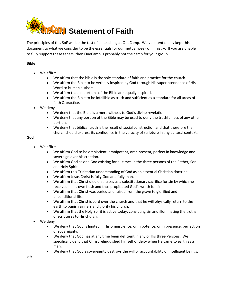

The principles of this SoF will be the test of all teaching at OneCamp. We've intentionally kept this document to what we consider to be the essentials for our mutual week of ministry. If you are unable to fully support these tenets, then OneCamp is probably not the camp for your group.

#### **Bible**

- We affirm
	- We affirm that the bible is the sole standard of faith and practice for the church.
	- We affirm the Bible to be verbally inspired by God through His superintendence of His Word to human authors.
	- We affirm that all portions of the Bible are equally inspired.
	- We affirm the Bible to be infallible as truth and sufficient as a standard for all areas of faith & practice.
- We deny
	- We deny that the Bible is a mere witness to God's divine revelation.
	- We deny that any portion of the Bible may be used to deny the truthfulness of any other portion.
	- We deny that biblical truth is the result of social construction and that therefore the church should express its confidence in the veracity of scripture in any cultural context.

#### **God**

- We affirm
	- We affirm God to be omniscient, omnipotent, omnipresent, perfect in knowledge and sovereign over his creation.
	- We affirm God as one God existing for all times in the three persons of the Father, Son and Holy Spirit.
	- We affirm this Trinitarian understanding of God as an essential Christian doctrine.
	- We affirm Jesus Christ is fully God and fully man.
	- We affirm that Christ died on a cross as a substitutionary sacrifice for sin by which he received in his own flesh and thus propitiated God's wrath for sin.
	- We affirm that Christ was buried and raised from the grave to glorified and unconditional life.
	- We affirm that Christ is Lord over the church and that he will physically return to the earth to punish sinners and glorify his church.
	- We affirm that the Holy Spirit is active today; convicting sin and illuminating the truths of scriptures to His church.
- We deny
	- We deny that God is limited in His omniscience, omnipotence, omnipresence, perfection or sovereignty.
	- We deny that God has at any time been deficient in any of His three Persons. We specifically deny that Christ relinquished himself of deity when He came to earth as a man.
	- We deny that God's sovereignty destroys the will or accountability of intelligent beings.